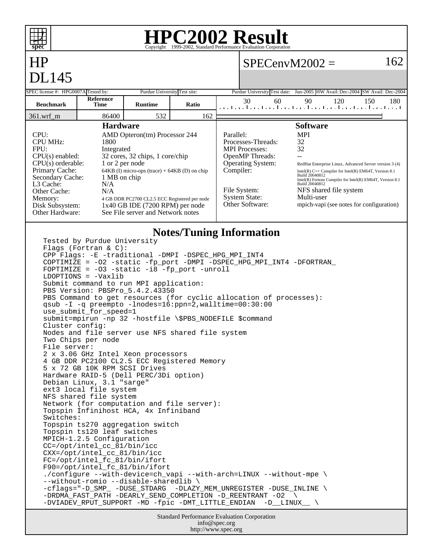

#### **HPC2002 Result**  $\overline{\text{Copyright} \textcircled{\tiny{e1999-2002}}}, \text{Standard Performance}$

# HP DI 145

### $SPECenvM2002 = 162$

| – – – – –<br>SPEC license #: HPG0007A Tested by:                                                                                                                                                                                                                      |                                                                                                                                                                                                                                                                                                                                                                                                                                                | Purdue University Test site:                                                                                                                                                                                    |       |                                                                                                                                                                           | Purdue University Test date: Jun-2005 HW Avail: Dec-2004 SW Avail: Dec-2004                                                                                                                                                                                                                                        |
|-----------------------------------------------------------------------------------------------------------------------------------------------------------------------------------------------------------------------------------------------------------------------|------------------------------------------------------------------------------------------------------------------------------------------------------------------------------------------------------------------------------------------------------------------------------------------------------------------------------------------------------------------------------------------------------------------------------------------------|-----------------------------------------------------------------------------------------------------------------------------------------------------------------------------------------------------------------|-------|---------------------------------------------------------------------------------------------------------------------------------------------------------------------------|--------------------------------------------------------------------------------------------------------------------------------------------------------------------------------------------------------------------------------------------------------------------------------------------------------------------|
| <b>Benchmark</b>                                                                                                                                                                                                                                                      | <b>Reference</b><br><b>Time</b>                                                                                                                                                                                                                                                                                                                                                                                                                | <b>Runtime</b>                                                                                                                                                                                                  | Ratio | 30<br>60                                                                                                                                                                  | 90<br>120<br>150<br>180<br>المتحا وتحاجيها وتحاجيها وتحاجيها وتحاجيها وتحاجيها وتحاجيب                                                                                                                                                                                                                             |
| $361.wrf_m$                                                                                                                                                                                                                                                           | 86400                                                                                                                                                                                                                                                                                                                                                                                                                                          | 532                                                                                                                                                                                                             | 162   |                                                                                                                                                                           |                                                                                                                                                                                                                                                                                                                    |
| <b>Hardware</b><br>CPU:<br>AMD Opteron(tm) Processor 244                                                                                                                                                                                                              |                                                                                                                                                                                                                                                                                                                                                                                                                                                |                                                                                                                                                                                                                 |       | Parallel:                                                                                                                                                                 | <b>Software</b><br><b>MPI</b>                                                                                                                                                                                                                                                                                      |
| <b>CPU MHz:</b><br>1800<br>FPU:<br>Integrated<br>$CPU(s)$ enabled:<br>1 or 2 per node<br>$CPU(s)$ orderable:<br>Primary Cache:<br>Secondary Cache:<br>1 MB on chip<br>L3 Cache:<br>N/A<br>Other Cache:<br>N/A<br>Memory:<br>Disk Subsystem:<br><b>Other Hardware:</b> |                                                                                                                                                                                                                                                                                                                                                                                                                                                | 32 cores, 32 chips, 1 core/chip<br>$64KB$ (I) micro-ops (trace) + $64KB$ (D) on chip<br>4 GB DDR PC2700 CL2.5 ECC Registered per node<br>$1x40$ GB IDE (7200 RPM) per node<br>See File server and Network notes |       | Processes-Threads:<br><b>MPI</b> Processes:<br><b>OpenMP</b> Threads:<br><b>Operating System:</b><br>Compiler:<br>File System:<br><b>System State:</b><br>Other Software: | 32<br>32<br>RedHat Enterprise Linux, Advanced Server version 3 (4)<br>Intel(R) $C++$ Compiler for Intel(R) EM64T, Version 8.1<br>Build 20040812<br>Intel(R) Fortran Compiler for Intel(R) EM64T, Version 8.1<br>Build 20040812<br>NFS shared file system<br>Multi-user<br>mpich-vapi (see notes for configuration) |
|                                                                                                                                                                                                                                                                       | Tested by Purdue University<br>Flags (Fortran & C):<br>FOPTIMIZE = $-03$ -static $-i8$ -fp port -unroll<br>$LDOPTIONS = -Vaxlib$<br>$C1$ $\frac{1}{2}$ $\frac{1}{2}$ $\frac{1}{2}$ $\frac{1}{2}$ $\frac{1}{2}$ $\frac{1}{2}$ $\frac{1}{2}$ $\frac{1}{2}$ $\frac{1}{2}$ $\frac{1}{2}$ $\frac{1}{2}$ $\frac{1}{2}$ $\frac{1}{2}$ $\frac{1}{2}$ $\frac{1}{2}$ $\frac{1}{2}$ $\frac{1}{2}$ $\frac{1}{2}$ $\frac{1}{2}$ $\frac{1}{2}$ $\frac{1}{2}$ |                                                                                                                                                                                                                 |       | <b>Notes/Tuning Information</b><br>CPP Flags: -E -traditional -DMPI -DSPEC_HPG_MPI_INT4<br>COPTIMIZE = -02 -static -fp_port -DMPI -DSPEC_HPG_MPI_INT4 -DFORTRAN_          |                                                                                                                                                                                                                                                                                                                    |

Submit command to run MPI application: PBS Version: PBSPro\_5.4.2.43350 PBS Command to get resources (for cyclic allocation of processes): qsub -I -q preempto -lnodes=16:ppn=2,walltime=00:30:00

use\_submit\_for\_speed=1 submit=mpirun -np 32 -hostfile \\$PBS\_NODEFILE \$command

Cluster config: Nodes and file server use NFS shared file system

Two Chips per node File server: 2 x 3.06 GHz Intel Xeon processors

4 GB DDR PC2100 CL2.5 ECC Registered Memory 5 x 72 GB 10K RPM SCSI Drives Hardware RAID-5 (Dell PERC/3Di option) Debian Linux, 3.1 "sarge"

ext3 local file system NFS shared file system Network (for computation and file server): Topspin Infinihost HCA, 4x Infiniband Switches: Topspin ts270 aggregation switch

Topspin ts120 leaf switches

MPICH-1.2.5 Configuration CC=/opt/intel\_cc\_81/bin/icc

CXX=/opt/intel\_cc\_81/bin/icc

FC=/opt/intel\_fc\_81/bin/ifort F90=/opt/intel\_fc\_81/bin/ifort

./configure --with-device=ch\_vapi --with-arch=LINUX --without-mpe \ --without-romio --disable-sharedlib \ -cflags="-D\_SMP\_ -DUSE\_STDARG -DLAZY\_MEM\_UNREGISTER -DUSE\_INLINE \

-DRDMA\_FAST\_PATH -DEARLY\_SEND\_COMPLETION -D\_REENTRANT -O2 \ -DVIADEV\_RPUT\_SUPPORT -MD -fpic -DMT\_LITTLE\_ENDIAN -D\_\_LINUX\_\_ \

> Standard Performance Evaluation Corporation info@spec.org http://www.spec.org